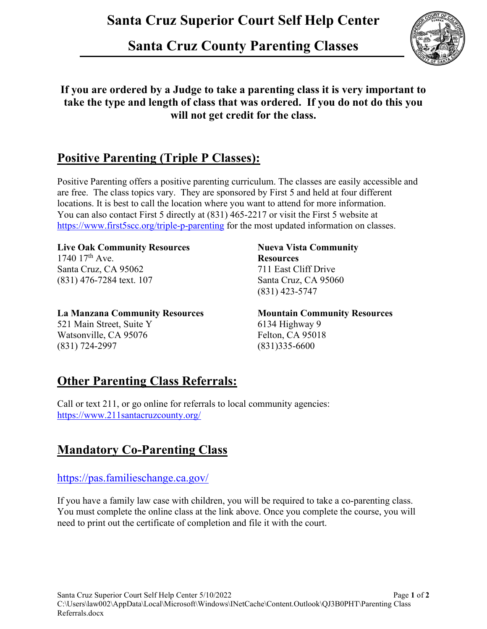# **Santa Cruz Superior Court Self Help Center**

# **Santa Cruz County Parenting Classes**



### **If you are ordered by a Judge to take a parenting class it is very important to take the type and length of class that was ordered. If you do not do this you will not get credit for the class.**

## **Positive Parenting (Triple P Classes):**

Positive Parenting offers a positive parenting curriculum. The classes are easily accessible and are free. The class topics vary. They are sponsored by First 5 and held at four different locations. It is best to call the location where you want to attend for more information. You can also contact First 5 directly at (831) 465-2217 or visit the First 5 website at <https://www.first5scc.org/triple-p-parenting> for the most updated information on classes.

### Live Oak Community Resources **Nueva Vista Community**

1740 17th Ave. **Resources** Santa Cruz, CA 95062 711 East Cliff Drive (831) 476-7284 text. 107 Santa Cruz, CA 95060

**La Manzana Community Resources Mountain Community Resources** 521 Main Street, Suite Y 6134 Highway 9 Watsonville, CA 95076 Felton, CA 95018 (831) 724-2997 (831)335-6600

(831) 423-5747

## **Other Parenting Class Referrals:**

Call or text 211, or go online for referrals to local community agencies: <https://www.211santacruzcounty.org/>

## **Mandatory Co-Parenting Class**

### <https://pas.familieschange.ca.gov/>

If you have a family law case with children, you will be required to take a co-parenting class. You must complete the online class at the link above. Once you complete the course, you will need to print out the certificate of completion and file it with the court.